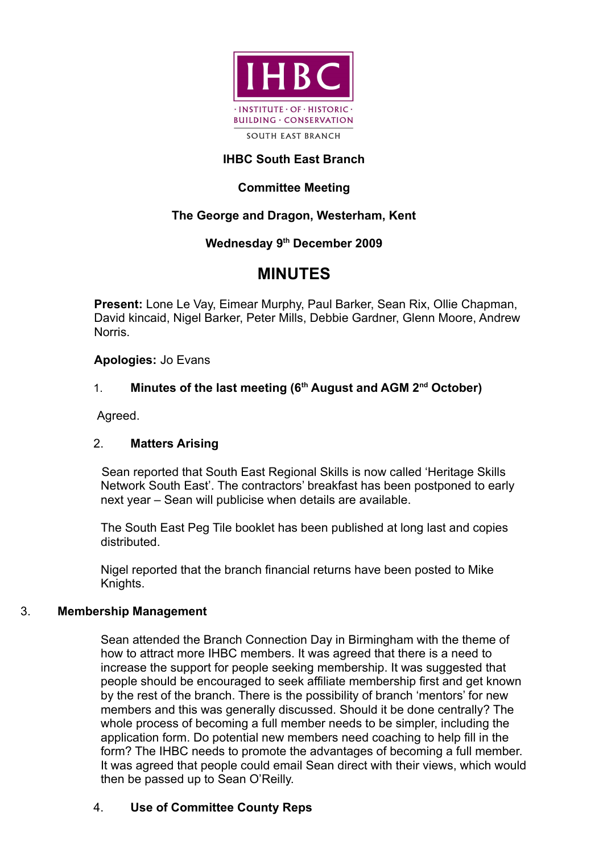

## **IHBC South East Branch**

# **Committee Meeting**

## **The George and Dragon, Westerham, Kent**

## **Wednesday 9th December 2009**

# **MINUTES**

**Present:** Lone Le Vay, Eimear Murphy, Paul Barker, Sean Rix, Ollie Chapman, David kincaid, Nigel Barker, Peter Mills, Debbie Gardner, Glenn Moore, Andrew Norris.

**Apologies:** Jo Evans

## 1. **Minutes of the last meeting (6th August and AGM 2nd October)**

Agreed.

## 2. **Matters Arising**

Sean reported that South East Regional Skills is now called 'Heritage Skills Network South East'. The contractors' breakfast has been postponed to early next year – Sean will publicise when details are available.

The South East Peg Tile booklet has been published at long last and copies distributed.

Nigel reported that the branch financial returns have been posted to Mike Knights.

## 3. **Membership Management**

Sean attended the Branch Connection Day in Birmingham with the theme of how to attract more IHBC members. It was agreed that there is a need to increase the support for people seeking membership. It was suggested that people should be encouraged to seek affiliate membership first and get known by the rest of the branch. There is the possibility of branch 'mentors' for new members and this was generally discussed. Should it be done centrally? The whole process of becoming a full member needs to be simpler, including the application form. Do potential new members need coaching to help fill in the form? The IHBC needs to promote the advantages of becoming a full member. It was agreed that people could email Sean direct with their views, which would then be passed up to Sean O'Reilly.

## 4. **Use of Committee County Reps**